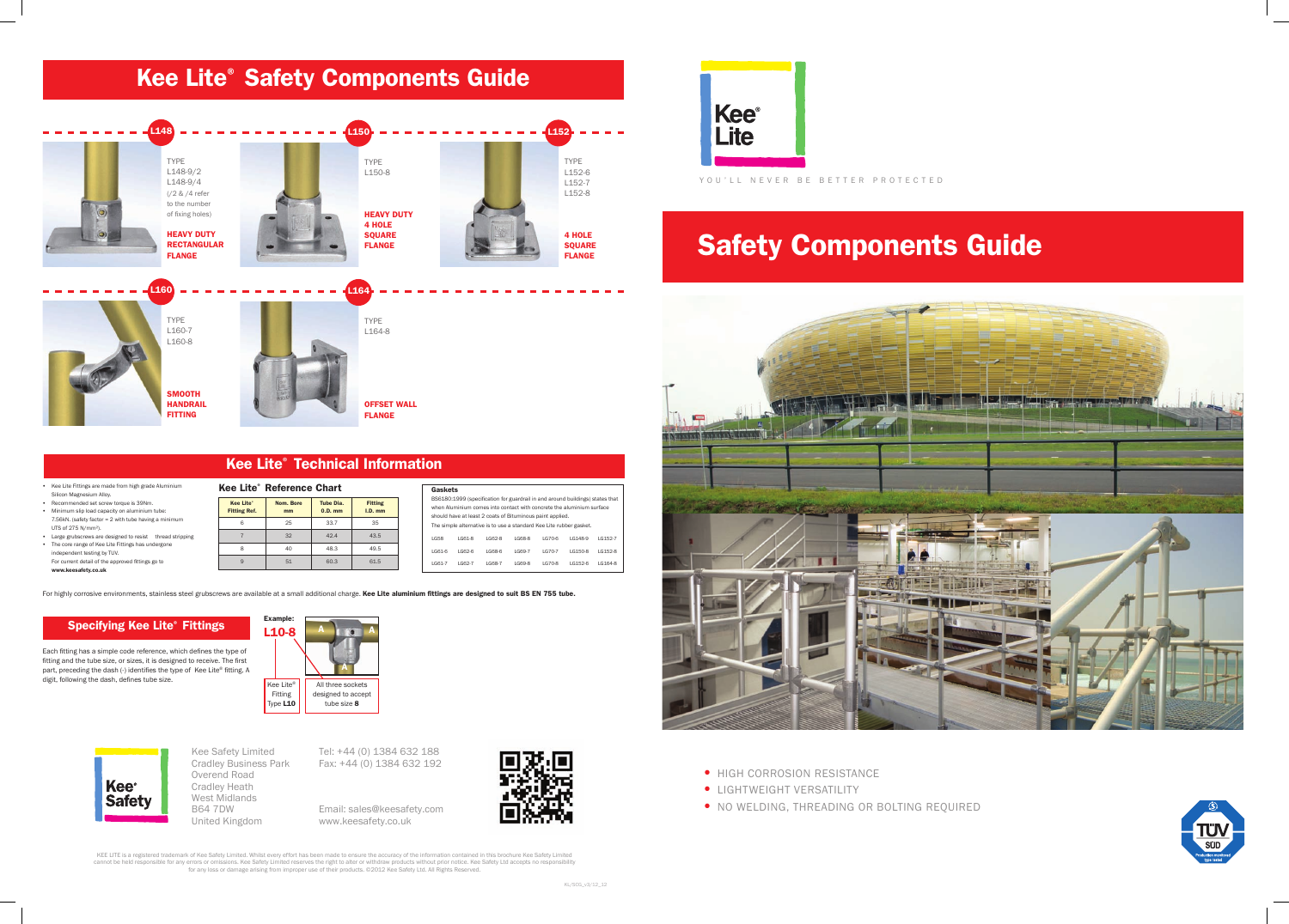## Safety Components Guide



- **HIGH CORROSION RESISTANCE**
- **LIGHTWEIGHT VERSATILITY**
- NO WELDING, THREADING OR BOLTING REQUIRED



KEE LITE is a registered trademark of Kee Safety Limited. Whilst every effort has been made to ensure the accuracy of the information contained in this brochure Kee Safety Limited<br>cannot be held responsible for any errors for any loss or damage arising from improper use of their products. ©2012 Kee Safety Ltd. All Rights Reserved.

YOU'LL NEVER BE BETTER PROTECTED

• Kee Lite Fittings are made from high grade Aluminium Silicon Magnesium Alloy.

> Kee Lite® Fitting Type L10

## Specifying Kee Lite® Fittings

**SMOOTH HANDRAIL FITTING** 

- • Recommended set screw torque is 39Nm.
- Minimum slip load capacity on aluminium tube: 7.56kN. (safety factor = 2 with tube having a minimum UTS of 275 N/mm²).
- Large grubscrews are designed to resist thread stripping • The core range of Kee Lite Fittings has undergone independent testing by TUV. For current detail of the approved fittings go to

www.keesafety.co.uk

Each fitting has a simple code reference, which defines the type of fitting and the tube size, or sizes, it is designed to receive. The first part, preceding the dash (-) identifies the type of Kee Lite® fitting. A digit, following the dash, defines tube size.



## **Kee Lite® Safety Components Guide** L148 TYPE L148-9/2 L148-9/4 (/2 & /4 refer to the number of fixing holes) HEAVY DUTY RECTANGULAR FLANGE  $L<sub>152</sub>$ TYPE L152-6 L152-7 L152-8 4 HOLE SQUARE FLANGE L150 TYPE L150-8 **HEAVY DUTY** 4 HOLE **SOUARE** FLANGE L160 TYPE L160-7 L160-8 L164 TYPE L164-8

L10-8

All three sockets designed to accept tube size 8

A

**A**  $\bullet$ 

| Gaskets |        |                                                                     |         |        |                                                                               |         |
|---------|--------|---------------------------------------------------------------------|---------|--------|-------------------------------------------------------------------------------|---------|
|         |        |                                                                     |         |        | BS6180:1999 (specification for guardrail in and around buildings) states that |         |
|         |        |                                                                     |         |        | when Aluminium comes into contact with concrete the aluminium surface         |         |
|         |        | should have at least 2 coats of Bituminous paint applied.           |         |        |                                                                               |         |
|         |        | The simple alternative is to use a standard Kee Lite rubber gasket. |         |        |                                                                               |         |
| LG58    | LG61-8 | LG62-8                                                              | 1.G68-8 | LG70-6 | 16148-9                                                                       | LG152-7 |
| LG61-6  | LG62-6 | LG68-6                                                              | LG69-7  | LG70-7 | LG150-8                                                                       | LG152-8 |
| LG61-7  | LG62-7 | LG68-7                                                              | LG69-8  | LG70-8 | 16152-6                                                                       | LG164-8 |

For highly corrosive environments, stainless steel grubscrews are available at a small additional charge. Kee Lite aluminium fittings are designed to suit BS EN 755 tube.

|  | Kee Lite <sup>®</sup> Technical Information |
|--|---------------------------------------------|
|  |                                             |

| <b>Kee Lite<sup>®</sup> Reference Chart</b> |                                         |                 |                        |                             |  |  |  |  |
|---------------------------------------------|-----------------------------------------|-----------------|------------------------|-----------------------------|--|--|--|--|
|                                             | <b>Kee Lite*</b><br><b>Fitting Ref.</b> | Nom. Bore<br>mm | Tube Dia.<br>$0.D.$ mm | <b>Fitting</b><br>$I.D.$ mm |  |  |  |  |
|                                             |                                         | 25              | 33.7                   | 35                          |  |  |  |  |
|                                             |                                         | 32              | 42.4                   | 43.5                        |  |  |  |  |
|                                             |                                         |                 | 48.3                   | 49.5                        |  |  |  |  |

9 51 60.3 61.5

OFFSET WALL FLANGE



Kee Safety Limited Cradley Business Park Overend Road Cradley Heath West Midlands B64 7DW United Kingdom

Tel: +44 (0) 1384 632 188 Fax: +44 (0) 1384 632 192

Email: sales@keesafety.com www.keesafety.co.uk